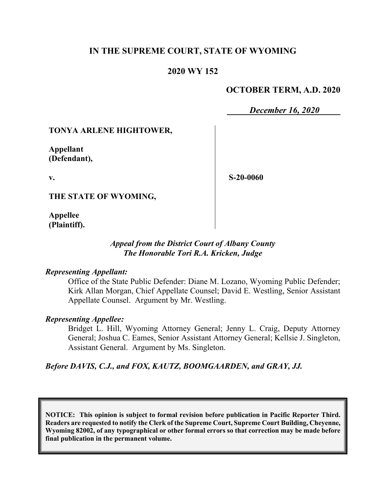# **IN THE SUPREME COURT, STATE OF WYOMING**

## **2020 WY 152**

### **OCTOBER TERM, A.D. 2020**

*December 16, 2020*

### **TONYA ARLENE HIGHTOWER,**

**Appellant (Defendant),**

**v.**

**S-20-0060**

**THE STATE OF WYOMING,**

**Appellee (Plaintiff).**

### *Appeal from the District Court of Albany County The Honorable Tori R.A. Kricken, Judge*

#### *Representing Appellant:*

Office of the State Public Defender: Diane M. Lozano, Wyoming Public Defender; Kirk Allan Morgan, Chief Appellate Counsel; David E. Westling, Senior Assistant Appellate Counsel. Argument by Mr. Westling.

#### *Representing Appellee:*

Bridget L. Hill, Wyoming Attorney General; Jenny L. Craig, Deputy Attorney General; Joshua C. Eames, Senior Assistant Attorney General; Kellsie J. Singleton, Assistant General. Argument by Ms. Singleton.

#### *Before DAVIS, C.J., and FOX, KAUTZ, BOOMGAARDEN, and GRAY, JJ.*

**NOTICE: This opinion is subject to formal revision before publication in Pacific Reporter Third. Readers are requested to notify the Clerk of the Supreme Court, Supreme Court Building, Cheyenne, Wyoming 82002, of any typographical or other formal errors so that correction may be made before final publication in the permanent volume.**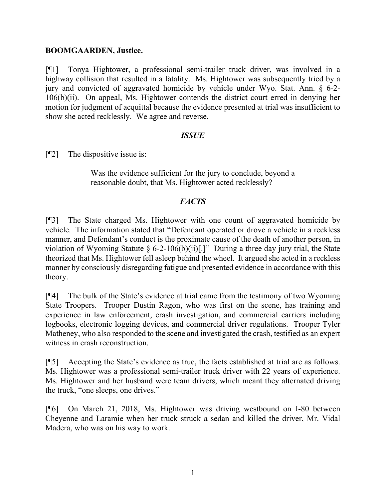### **BOOMGAARDEN, Justice.**

[¶1] Tonya Hightower, a professional semi-trailer truck driver, was involved in a highway collision that resulted in a fatality. Ms. Hightower was subsequently tried by a jury and convicted of aggravated homicide by vehicle under Wyo. Stat. Ann. § 6-2- 106(b)(ii). On appeal, Ms. Hightower contends the district court erred in denying her motion for judgment of acquittal because the evidence presented at trial was insufficient to show she acted recklessly. We agree and reverse.

### *ISSUE*

[¶2] The dispositive issue is:

Was the evidence sufficient for the jury to conclude, beyond a reasonable doubt, that Ms. Hightower acted recklessly?

### *FACTS*

[¶3] The State charged Ms. Hightower with one count of aggravated homicide by vehicle. The information stated that "Defendant operated or drove a vehicle in a reckless manner, and Defendant's conduct is the proximate cause of the death of another person, in violation of Wyoming Statute  $\S 6$ -2-106(b)(ii)[.]" During a three day jury trial, the State theorized that Ms. Hightower fell asleep behind the wheel. It argued she acted in a reckless manner by consciously disregarding fatigue and presented evidence in accordance with this theory.

[¶4] The bulk of the State's evidence at trial came from the testimony of two Wyoming State Troopers. Trooper Dustin Ragon, who was first on the scene, has training and experience in law enforcement, crash investigation, and commercial carriers including logbooks, electronic logging devices, and commercial driver regulations. Trooper Tyler Matheney, who also responded to the scene and investigated the crash, testified as an expert witness in crash reconstruction.

[¶5] Accepting the State's evidence as true, the facts established at trial are as follows. Ms. Hightower was a professional semi-trailer truck driver with 22 years of experience. Ms. Hightower and her husband were team drivers, which meant they alternated driving the truck, "one sleeps, one drives."

[¶6] On March 21, 2018, Ms. Hightower was driving westbound on I-80 between Cheyenne and Laramie when her truck struck a sedan and killed the driver, Mr. Vidal Madera, who was on his way to work.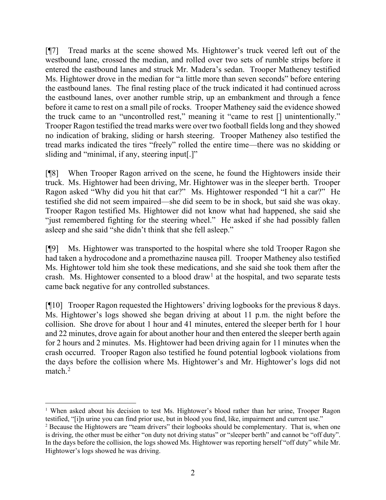[¶7] Tread marks at the scene showed Ms. Hightower's truck veered left out of the westbound lane, crossed the median, and rolled over two sets of rumble strips before it entered the eastbound lanes and struck Mr. Madera's sedan. Trooper Matheney testified Ms. Hightower drove in the median for "a little more than seven seconds" before entering the eastbound lanes. The final resting place of the truck indicated it had continued across the eastbound lanes, over another rumble strip, up an embankment and through a fence before it came to rest on a small pile of rocks. Trooper Matheney said the evidence showed the truck came to an "uncontrolled rest," meaning it "came to rest [] unintentionally." Trooper Ragon testified the tread marks were over two football fields long and they showed no indication of braking, sliding or harsh steering. Trooper Matheney also testified the tread marks indicated the tires "freely" rolled the entire time—there was no skidding or sliding and "minimal, if any, steering input[.]"

[¶8] When Trooper Ragon arrived on the scene, he found the Hightowers inside their truck. Ms. Hightower had been driving, Mr. Hightower was in the sleeper berth. Trooper Ragon asked "Why did you hit that car?" Ms. Hightower responded "I hit a car?" He testified she did not seem impaired—she did seem to be in shock, but said she was okay. Trooper Ragon testified Ms. Hightower did not know what had happened, she said she "just remembered fighting for the steering wheel." He asked if she had possibly fallen asleep and she said "she didn't think that she fell asleep."

[¶9] Ms. Hightower was transported to the hospital where she told Trooper Ragon she had taken a hydrocodone and a promethazine nausea pill. Trooper Matheney also testified Ms. Hightower told him she took these medications, and she said she took them after the crash. Ms. Hightower consented to a blood draw<sup>[1](#page-2-0)</sup> at the hospital, and two separate tests came back negative for any controlled substances.

[¶10] Trooper Ragon requested the Hightowers' driving logbooks for the previous 8 days. Ms. Hightower's logs showed she began driving at about 11 p.m. the night before the collision. She drove for about 1 hour and 41 minutes, entered the sleeper berth for 1 hour and 22 minutes, drove again for about another hour and then entered the sleeper berth again for 2 hours and 2 minutes. Ms. Hightower had been driving again for 11 minutes when the crash occurred. Trooper Ragon also testified he found potential logbook violations from the days before the collision where Ms. Hightower's and Mr. Hightower's logs did not match. $^2$  $^2$ 

<span id="page-2-0"></span><sup>&</sup>lt;sup>1</sup> When asked about his decision to test Ms. Hightower's blood rather than her urine, Trooper Ragon testified, "[i]n urine you can find prior use, but in blood you find, like, impairment and current use."

<span id="page-2-1"></span><sup>&</sup>lt;sup>2</sup> Because the Hightowers are "team drivers" their logbooks should be complementary. That is, when one is driving, the other must be either "on duty not driving status" or "sleeper berth" and cannot be "off duty". In the days before the collision, the logs showed Ms. Hightower was reporting herself "off duty" while Mr. Hightower's logs showed he was driving.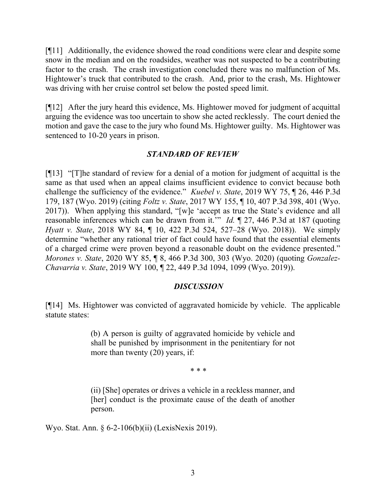[¶11] Additionally, the evidence showed the road conditions were clear and despite some snow in the median and on the roadsides, weather was not suspected to be a contributing factor to the crash. The crash investigation concluded there was no malfunction of Ms. Hightower's truck that contributed to the crash. And, prior to the crash, Ms. Hightower was driving with her cruise control set below the posted speed limit.

[¶12] After the jury heard this evidence, Ms. Hightower moved for judgment of acquittal arguing the evidence was too uncertain to show she acted recklessly. The court denied the motion and gave the case to the jury who found Ms. Hightower guilty. Ms. Hightower was sentenced to 10-20 years in prison.

## *STANDARD OF REVIEW*

[¶13] "[T]he standard of review for a denial of a motion for judgment of acquittal is the same as that used when an appeal claims insufficient evidence to convict because both challenge the sufficiency of the evidence." *Kuebel v. State*, 2019 WY 75, ¶ 26, 446 P.3d 179, 187 (Wyo. 2019) (citing *Foltz v. State*, 2017 WY 155, ¶ 10, 407 P.3d 398, 401 (Wyo. 2017)). When applying this standard, "[w]e 'accept as true the State's evidence and all reasonable inferences which can be drawn from it.'" *Id.* ¶ 27, 446 P.3d at 187 (quoting *Hyatt v. State*, 2018 WY 84, ¶ 10, 422 P.3d 524, 527–28 (Wyo. 2018)). We simply determine "whether any rational trier of fact could have found that the essential elements of a charged crime were proven beyond a reasonable doubt on the evidence presented." *Morones v. State*, 2020 WY 85, ¶ 8, 466 P.3d 300, 303 (Wyo. 2020) (quoting *[Gonzalez-](https://1.next.westlaw.com/Link/Document/FullText?findType=Y&serNum=2049328062&pubNum=0004645&originatingDoc=Ib33088c0b67611eabb269ba69a79554c&refType=RP&fi=co_pp_sp_4645_1099&originationContext=document&transitionType=DocumentItem&contextData=(sc.Search)#co_pp_sp_4645_1099)Chavarria v. State*[, 2019 WY 100, ¶ 22, 449 P.3d 1094, 1099 \(Wyo. 2019\)\)](https://1.next.westlaw.com/Link/Document/FullText?findType=Y&serNum=2049328062&pubNum=0004645&originatingDoc=Ib33088c0b67611eabb269ba69a79554c&refType=RP&fi=co_pp_sp_4645_1099&originationContext=document&transitionType=DocumentItem&contextData=(sc.Search)#co_pp_sp_4645_1099).

#### *DISCUSSION*

[¶14] Ms. Hightower was convicted of aggravated homicide by vehicle. The applicable statute states:

> (b) A person is guilty of aggravated homicide by vehicle and shall be punished by imprisonment in the penitentiary for not more than twenty (20) years, if:

> > \* \* \*

(ii) [She] operates or drives a vehicle in a reckless manner, and [her] conduct is the proximate cause of the death of another person.

Wyo. Stat. Ann. § 6-2-106(b)(ii) (LexisNexis 2019).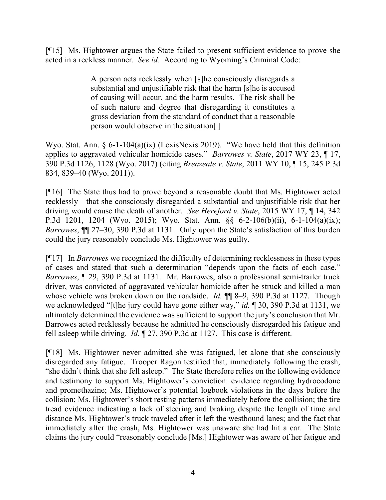[¶15] Ms. Hightower argues the State failed to present sufficient evidence to prove she acted in a reckless manner. *See id.* According to Wyoming's Criminal Code:

> A person acts recklessly when [s]he consciously disregards a substantial and unjustifiable risk that the harm [s]he is accused of causing will occur, and the harm results. The risk shall be of such nature and degree that disregarding it constitutes a gross deviation from the standard of conduct that a reasonable person would observe in the situation[.]

Wyo. Stat. Ann. § 6-1-104(a)(ix) (LexisNexis 2019). "We have held that this definition applies to aggravated vehicular homicide cases." *Barrowes v. State*, 2017 WY 23, ¶ 17, 390 P.3d 1126, 1128 (Wyo. 2017) (citing *Breazeale v. State*, 2011 WY 10, ¶ 15, 245 P.3d 834, 839–40 (Wyo. 2011)).

[¶16] The State thus had to prove beyond a reasonable doubt that Ms. Hightower acted recklessly—that she consciously disregarded a substantial and unjustifiable risk that her driving would cause the death of another. *See Hereford v. State*, 2015 WY 17, ¶ 14, 342 P.3d 1201, 1204 (Wyo. 2015); Wyo. Stat. Ann. §§ 6-2-106(b)(ii), 6-1-104(a)(ix); *Barrowes*, ¶¶ 27–30, 390 P.3d at 1131. Only upon the State's satisfaction of this burden could the jury reasonably conclude Ms. Hightower was guilty.

[¶17] In *Barrowes* we recognized the difficulty of determining recklessness in these types of cases and stated that such a determination "depends upon the facts of each case." *Barrowes*, ¶ 29, 390 P.3d at 1131. Mr. Barrowes, also a professional semi-trailer truck driver, was convicted of aggravated vehicular homicide after he struck and killed a man whose vehicle was broken down on the roadside. *Id.*  $\mathbb{I}$  8–9, 390 P.3d at 1127. Though we acknowledged "[t]he jury could have gone either way," *id.* ¶ 30, 390 P.3d at 1131, we ultimately determined the evidence was sufficient to support the jury's conclusion that Mr. Barrowes acted recklessly because he admitted he consciously disregarded his fatigue and fell asleep while driving. *Id.* ¶ 27, 390 P.3d at 1127. This case is different.

[¶18] Ms. Hightower never admitted she was fatigued, let alone that she consciously disregarded any fatigue. Trooper Ragon testified that, immediately following the crash, "she didn't think that she fell asleep." The State therefore relies on the following evidence and testimony to support Ms. Hightower's conviction: evidence regarding hydrocodone and promethazine; Ms. Hightower's potential logbook violations in the days before the collision; Ms. Hightower's short resting patterns immediately before the collision; the tire tread evidence indicating a lack of steering and braking despite the length of time and distance Ms. Hightower's truck traveled after it left the westbound lanes; and the fact that immediately after the crash, Ms. Hightower was unaware she had hit a car. The State claims the jury could "reasonably conclude [Ms.] Hightower was aware of her fatigue and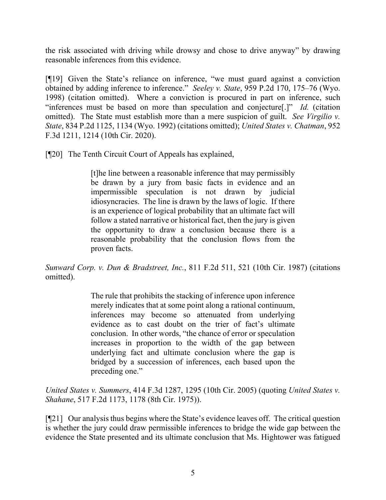the risk associated with driving while drowsy and chose to drive anyway" by drawing reasonable inferences from this evidence.

[¶19] Given the State's reliance on inference, "we must guard against a conviction obtained by adding inference to inference." *Seeley v. State*, 959 P.2d 170, 175–76 (Wyo. 1998) (citation omitted). Where a conviction is procured in part on inference, such "inferences must be based on more than speculation and conjecture[.]" *Id.* (citation omitted). The State must establish more than a mere suspicion of guilt. *See Virgilio v. State*, 834 P.2d 1125, 1134 (Wyo. 1992) (citations omitted); *United States v. Chatman*, 952 F.3d 1211, 1214 (10th Cir. 2020).

[¶20] The Tenth Circuit Court of Appeals has explained,

[t]he line between a reasonable inference that may permissibly be drawn by a jury from basic facts in evidence and an impermissible speculation is not drawn by judicial idiosyncracies. The line is drawn by the laws of logic. If there is an experience of logical probability that an ultimate fact will follow a stated narrative or historical fact, then the jury is given the opportunity to draw a conclusion because there is a reasonable probability that the conclusion flows from the proven facts.

*Sunward Corp. v. Dun & Bradstreet, Inc.*, 811 F.2d 511, 521 (10th Cir. 1987) (citations omitted).

> The rule that prohibits the stacking of inference upon inference merely indicates that at some point along a rational continuum, inferences may become so attenuated from underlying evidence as to cast doubt on the trier of fact's ultimate conclusion. In other words, "the chance of error or speculation increases in proportion to the width of the gap between underlying fact and ultimate conclusion where the gap is bridged by a succession of inferences, each based upon the preceding one."

*United States v. Summers*, 414 F.3d 1287, 1295 (10th Cir. 2005) (quoting *United States v. Shahane*, 517 F.2d 1173, 1178 (8th Cir. 1975)).

[¶21] Our analysis thus begins where the State's evidence leaves off. The critical question is whether the jury could draw permissible inferences to bridge the wide gap between the evidence the State presented and its ultimate conclusion that Ms. Hightower was fatigued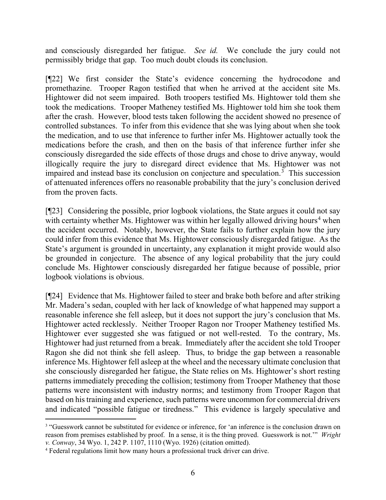and consciously disregarded her fatigue. *See id.* We conclude the jury could not permissibly bridge that gap. Too much doubt clouds its conclusion.

[¶22] We first consider the State's evidence concerning the hydrocodone and promethazine. Trooper Ragon testified that when he arrived at the accident site Ms. Hightower did not seem impaired. Both troopers testified Ms. Hightower told them she took the medications. Trooper Matheney testified Ms. Hightower told him she took them after the crash. However, blood tests taken following the accident showed no presence of controlled substances. To infer from this evidence that she was lying about when she took the medication, and to use that inference to further infer Ms. Hightower actually took the medications before the crash, and then on the basis of that inference further infer she consciously disregarded the side effects of those drugs and chose to drive anyway, would illogically require the jury to disregard direct evidence that Ms. Hightower was not impaired and instead base its conclusion on conjecture and speculation.<sup>[3](#page-6-0)</sup> This succession of attenuated inferences offers no reasonable probability that the jury's conclusion derived from the proven facts.

[¶23] Considering the possible, prior logbook violations, the State argues it could not say with certainty whether Ms. Hightower was within her legally allowed driving hours<sup>[4](#page-6-1)</sup> when the accident occurred. Notably, however, the State fails to further explain how the jury could infer from this evidence that Ms. Hightower consciously disregarded fatigue. As the State's argument is grounded in uncertainty, any explanation it might provide would also be grounded in conjecture. The absence of any logical probability that the jury could conclude Ms. Hightower consciously disregarded her fatigue because of possible, prior logbook violations is obvious.

[¶24] Evidence that Ms. Hightower failed to steer and brake both before and after striking Mr. Madera's sedan, coupled with her lack of knowledge of what happened may support a reasonable inference she fell asleep, but it does not support the jury's conclusion that Ms. Hightower acted recklessly. Neither Trooper Ragon nor Trooper Matheney testified Ms. Hightower ever suggested she was fatigued or not well-rested. To the contrary, Ms. Hightower had just returned from a break. Immediately after the accident she told Trooper Ragon she did not think she fell asleep. Thus, to bridge the gap between a reasonable inference Ms. Hightower fell asleep at the wheel and the necessary ultimate conclusion that she consciously disregarded her fatigue, the State relies on Ms. Hightower's short resting patterns immediately preceding the collision; testimony from Trooper Matheney that those patterns were inconsistent with industry norms; and testimony from Trooper Ragon that based on his training and experience, such patterns were uncommon for commercial drivers and indicated "possible fatigue or tiredness." This evidence is largely speculative and

<span id="page-6-0"></span><sup>&</sup>lt;sup>3</sup> "Guesswork cannot be substituted for evidence or inference, for 'an inference is the conclusion drawn on reason from premises established by proof. In a sense, it is the thing proved. Guesswork is not.'" *Wright v. Conway*, 34 Wyo. 1, 242 P. 1107, 1110 (Wyo. 1926) (citation omitted). 4 Federal regulations limit how many hours a professional truck driver can drive.

<span id="page-6-1"></span>